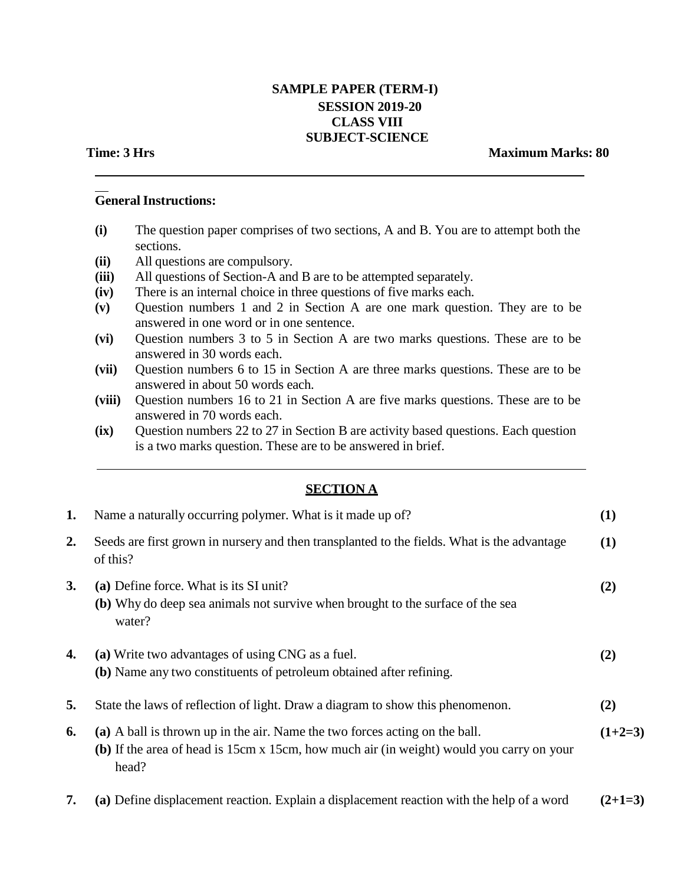# **SAMPLE PAPER (TERM-I) SESSION 2019-20 CLASS VIII SUBJECT-SCIENCE**

## **Time: 3 Hrs Maximum Marks: 80**

# **GeneralInstructions:**

- **(i)** The question paper comprises of two sections, A and B. You are to attempt both the sections.
- **(ii)** All questions are compulsory.
- **(iii)** All questions of Section-A and B are to be attempted separately.
- **(iv)** There is an internal choice in three questions of five marks each.
- **(v)** Question numbers 1 and 2 in Section A are one mark question. They are to be answered in one word or in one sentence.
- **(vi)** Question numbers 3 to 5 in Section A are two marks questions. These are to be answered in 30 words each.
- **(vii)** Question numbers 6 to 15 in Section A are three marks questions. These are to be answered in about 50 words each.
- **(viii)** Question numbers 16 to 21 in Section A are five marks questions. These are to be answered in 70 words each.
- **(ix)** Question numbers 22 to 27 in Section B are activity based questions. Each question is a two marks question. These are to be answered in brief.

# **SECTION A**

| 1. | Name a naturally occurring polymer. What is it made up of?                                                                                                                       | (1)       |
|----|----------------------------------------------------------------------------------------------------------------------------------------------------------------------------------|-----------|
| 2. | Seeds are first grown in nursery and then transplanted to the fields. What is the advantage<br>of this?                                                                          | (1)       |
| 3. | (a) Define force. What is its SI unit?<br>(b) Why do deep sea animals not survive when brought to the surface of the sea<br>water?                                               | (2)       |
| 4. | (a) Write two advantages of using CNG as a fuel.<br>(b) Name any two constituents of petroleum obtained after refining.                                                          | (2)       |
| 5. | State the laws of reflection of light. Draw a diagram to show this phenomenon.                                                                                                   | (2)       |
| 6. | (a) A ball is thrown up in the air. Name the two forces acting on the ball.<br>(b) If the area of head is 15cm x 15cm, how much air (in weight) would you carry on your<br>head? | $(1+2=3)$ |
|    |                                                                                                                                                                                  |           |

**7. (a)** Define displacement reaction. Explain a displacement reaction with the help of a word **(2+1=3)**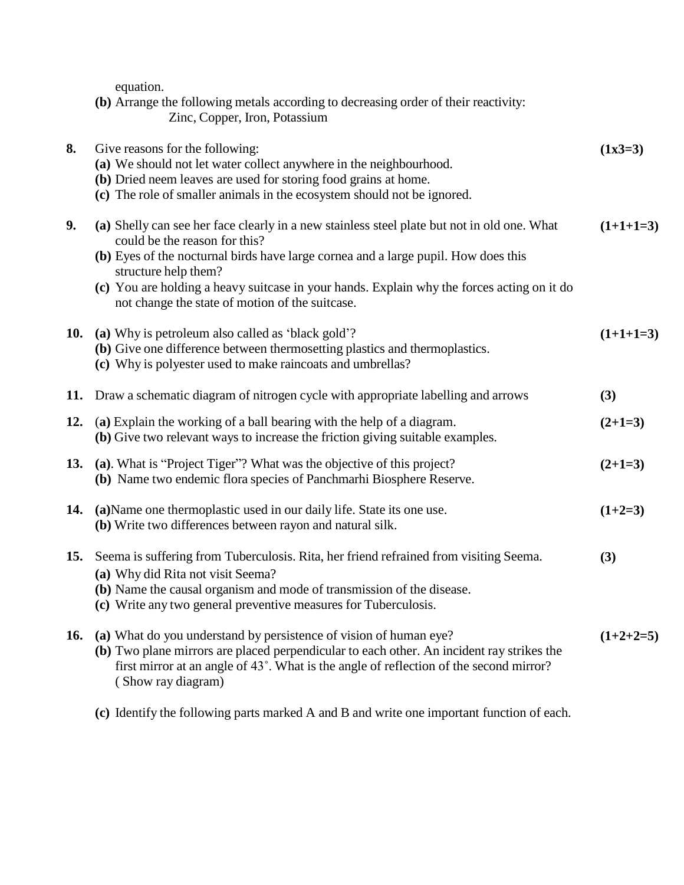equation.

|                               | (b) Arrange the following metals according to decreasing order of their reactivity: |
|-------------------------------|-------------------------------------------------------------------------------------|
| Zinc, Copper, Iron, Potassium |                                                                                     |

| 8.         | Give reasons for the following:                                                                                                                                                                                                                                                                                                                   | $(1x3=3)$   |
|------------|---------------------------------------------------------------------------------------------------------------------------------------------------------------------------------------------------------------------------------------------------------------------------------------------------------------------------------------------------|-------------|
|            | (a) We should not let water collect anywhere in the neighbourhood.                                                                                                                                                                                                                                                                                |             |
|            | (b) Dried neem leaves are used for storing food grains at home.                                                                                                                                                                                                                                                                                   |             |
|            | (c) The role of smaller animals in the ecosystem should not be ignored.                                                                                                                                                                                                                                                                           |             |
| 9.         | (a) Shelly can see her face clearly in a new stainless steel plate but not in old one. What<br>could be the reason for this?                                                                                                                                                                                                                      | $(1+1+1=3)$ |
|            | (b) Eyes of the nocturnal birds have large cornea and a large pupil. How does this<br>structure help them?                                                                                                                                                                                                                                        |             |
|            | (c) You are holding a heavy suitcase in your hands. Explain why the forces acting on it do<br>not change the state of motion of the suitcase.                                                                                                                                                                                                     |             |
| <b>10.</b> | (a) Why is petroleum also called as 'black gold'?<br>(b) Give one difference between thermosetting plastics and thermoplastics.<br>(c) Why is polyester used to make raincoats and umbrellas?                                                                                                                                                     | $(1+1+1=3)$ |
|            | 11. Draw a schematic diagram of nitrogen cycle with appropriate labelling and arrows                                                                                                                                                                                                                                                              | (3)         |
| 12.        | (a) Explain the working of a ball bearing with the help of a diagram.<br>(b) Give two relevant ways to increase the friction giving suitable examples.                                                                                                                                                                                            | $(2+1=3)$   |
| 13.        | (a). What is "Project Tiger"? What was the objective of this project?<br>(b) Name two endemic flora species of Panchmarhi Biosphere Reserve.                                                                                                                                                                                                      | $(2+1=3)$   |
| 14.        | (a) Name one thermoplastic used in our daily life. State its one use.<br>(b) Write two differences between rayon and natural silk.                                                                                                                                                                                                                | $(1+2=3)$   |
| 15.        | Seema is suffering from Tuberculosis. Rita, her friend refrained from visiting Seema.<br>(a) Why did Rita not visit Seema?<br>(b) Name the causal organism and mode of transmission of the disease.                                                                                                                                               | (3)         |
| 16.        | (c) Write any two general preventive measures for Tuberculosis.<br>(a) What do you understand by persistence of vision of human eye?<br>(b) Two plane mirrors are placed perpendicular to each other. An incident ray strikes the<br>first mirror at an angle of 43°. What is the angle of reflection of the second mirror?<br>(Show ray diagram) | $(1+2+2=5)$ |

**(c)** Identify the following parts marked A and B and write one important function of each.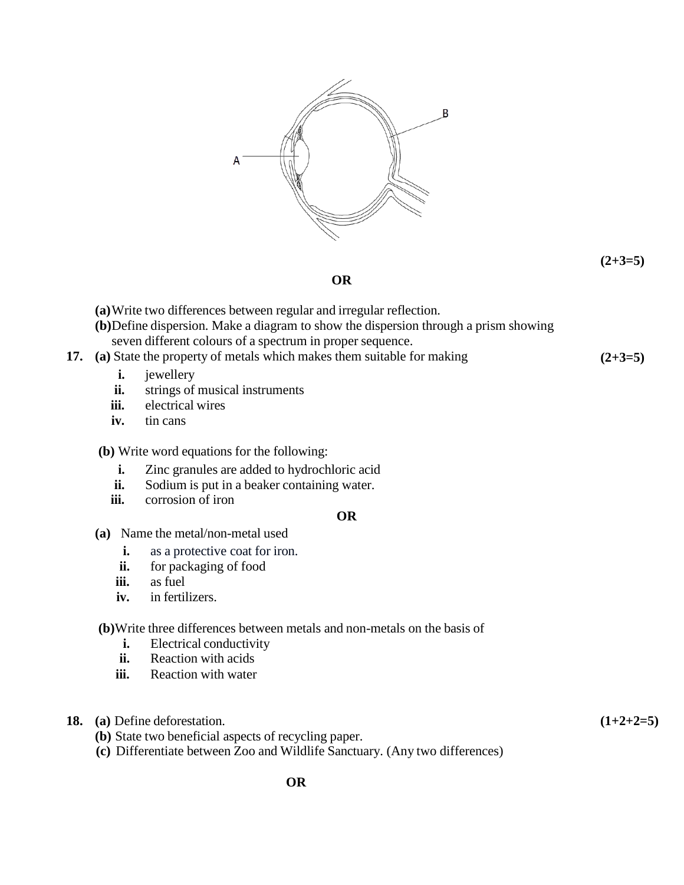

**(2+3=5)**

**OR**

- **(a)**Write two differences between regular and irregular reflection.
- **(b)**Define dispersion. Make a diagram to show the dispersion through a prism showing seven different colours of a spectrum in proper sequence.
- **17. (a)** State the property of metals which makes them suitable for making **(2+3=5)**
	- **i.** jewellery
	- **ii.** strings of musical instruments
	- **iii.** electrical wires
	- **iv.** tin cans

**(b)** Write word equations for the following:

- **i.** Zinc granules are added to hydrochloric acid
- **ii.** Sodium is put in a beaker containing water.
- **iii.** corrosion of iron

# **OR**

- **(a)** Name the metal/non-metal used
	- **i.** as a protective coat for iron.
	- **ii.** for packaging of food
	- **iii.** as fuel
	- **iv.** in fertilizers.

### **(b)**Write three differences between metals and non-metals on the basis of

- **i.** Electrical conductivity
- **ii.** Reaction with acids
- **iii.** Reaction with water

# **18. (a)** Define deforestation.

**(b)** State two beneficial aspects of recycling paper.

**(c)** Differentiate between Zoo and Wildlife Sanctuary. (Any two differences)

**(1+2+2=5)**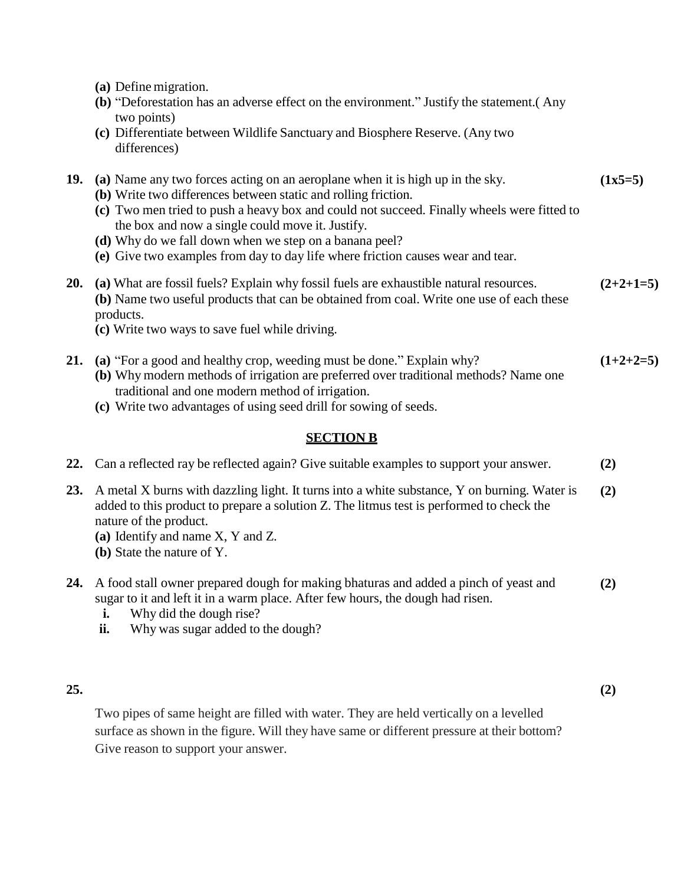- **(a)** Define migration.
- **(b)** "Deforestation has an adverse effect on the environment." Justify the statement.( Any two points)
- **(c)** Differentiate between Wildlife Sanctuary and Biosphere Reserve. (Any two differences)

#### **19. (a)** Name any two forces acting on an aeroplane when it is high up in the sky. **(1x5=5)**

- **(b)** Write two differences between static and rolling friction.
- **(c)** Two men tried to push a heavy box and could not succeed. Finally wheels were fitted to the box and now a single could move it. Justify.
- **(d)** Why do we fall down when we step on a banana peel?
- **(e)** Give two examples from day to day life where friction causes wear and tear.
- **20. (a)** What are fossil fuels? Explain why fossil fuels are exhaustible natural resources. **(b)** Name two useful products that can be obtained from coal. Write one use of each these products. **(2+2+1=5)**
	- **(c)** Write two ways to save fuel while driving.
- **21. (a)** "For a good and healthy crop, weeding must be done." Explain why? **(b)** Why modern methods of irrigation are preferred over traditional methods? Name one traditional and one modern method of irrigation. **(1+2+2=5)**
	- **(c)** Write two advantages of using seed drill for sowing of seeds.

# **SECTION B**

|            | 22. Can a reflected ray be reflected again? Give suitable examples to support your answer.                                                                                                                                                                                            | (2) |
|------------|---------------------------------------------------------------------------------------------------------------------------------------------------------------------------------------------------------------------------------------------------------------------------------------|-----|
| <b>23.</b> | A metal X burns with dazzling light. It turns into a white substance, Y on burning. Water is<br>added to this product to prepare a solution Z. The litmus test is performed to check the<br>nature of the product.<br>(a) Identify and name X, Y and Z.<br>(b) State the nature of Y. | (2) |
| 24.        | A food stall owner prepared dough for making bhaturas and added a pinch of yeast and<br>sugar to it and left it in a warm place. After few hours, the dough had risen.<br>Why did the dough rise?<br>ı.<br>Why was sugar added to the dough?<br>ii.                                   | (2) |

# **25.**

**(2)**

Two pipes of same height are filled with water. They are held vertically on a levelled surface as shown in the figure. Will they have same or different pressure at their bottom? Give reason to support your answer.